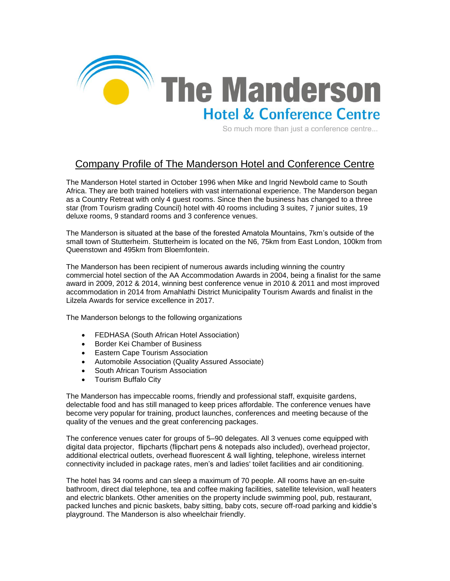

So much more than just a conference centre...

## Company Profile of The Manderson Hotel and Conference Centre

The Manderson Hotel started in October 1996 when Mike and Ingrid Newbold came to South Africa. They are both trained hoteliers with vast international experience. The Manderson began as a Country Retreat with only 4 guest rooms. Since then the business has changed to a three star (from Tourism grading Council) hotel with 40 rooms including 3 suites, 7 junior suites, 19 deluxe rooms, 9 standard rooms and 3 conference venues.

The Manderson is situated at the base of the forested Amatola Mountains, 7km's outside of the small town of Stutterheim. Stutterheim is located on the N6, 75km from East London, 100km from Queenstown and 495km from Bloemfontein.

The Manderson has been recipient of numerous awards including winning the country commercial hotel section of the AA Accommodation Awards in 2004, being a finalist for the same award in 2009, 2012 & 2014, winning best conference venue in 2010 & 2011 and most improved accommodation in 2014 from Amahlathi District Municipality Tourism Awards and finalist in the Lilzela Awards for service excellence in 2017.

The Manderson belongs to the following organizations

- FEDHASA (South African Hotel Association)
- Border Kei Chamber of Business
- Eastern Cape Tourism Association
- Automobile Association (Quality Assured Associate)
- South African Tourism Association
- Tourism Buffalo City

The Manderson has impeccable rooms, friendly and professional staff, exquisite gardens, delectable food and has still managed to keep prices affordable. The conference venues have become very popular for training, product launches, conferences and meeting because of the quality of the venues and the great conferencing packages.

The conference venues cater for groups of 5–90 delegates. All 3 venues come equipped with digital data projector, flipcharts (flipchart pens & notepads also included), overhead projector, additional electrical outlets, overhead fluorescent & wall lighting, telephone, wireless internet connectivity included in package rates, men's and ladies' toilet facilities and air conditioning.

The hotel has 34 rooms and can sleep a maximum of 70 people. All rooms have an en-suite bathroom, direct dial telephone, tea and coffee making facilities, satellite television, wall heaters and electric blankets. Other amenities on the property include swimming pool, pub, restaurant, packed lunches and picnic baskets, baby sitting, baby cots, secure off-road parking and kiddie's playground. The Manderson is also wheelchair friendly.